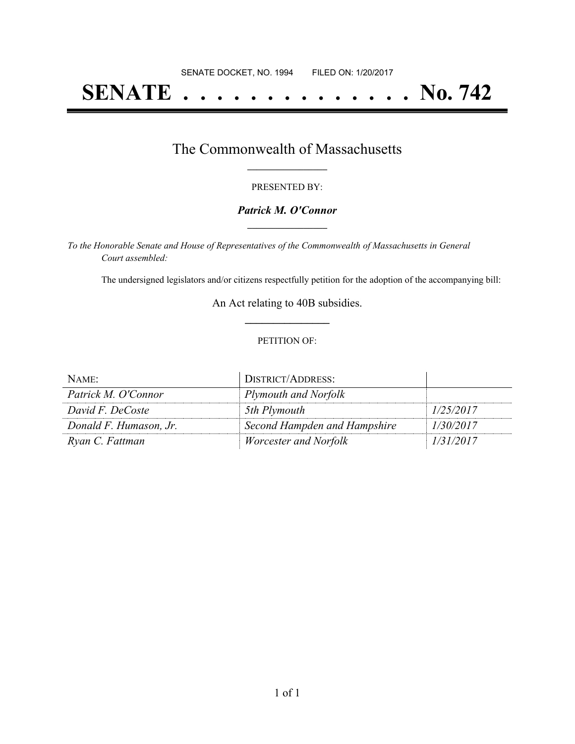# **SENATE . . . . . . . . . . . . . . No. 742**

### The Commonwealth of Massachusetts **\_\_\_\_\_\_\_\_\_\_\_\_\_\_\_\_\_**

#### PRESENTED BY:

#### *Patrick M. O'Connor* **\_\_\_\_\_\_\_\_\_\_\_\_\_\_\_\_\_**

*To the Honorable Senate and House of Representatives of the Commonwealth of Massachusetts in General Court assembled:*

The undersigned legislators and/or citizens respectfully petition for the adoption of the accompanying bill:

An Act relating to 40B subsidies. **\_\_\_\_\_\_\_\_\_\_\_\_\_\_\_**

#### PETITION OF:

| NAME:                  | <b>DISTRICT/ADDRESS:</b>     |           |
|------------------------|------------------------------|-----------|
| Patrick M. O'Connor    | Plymouth and Norfolk         |           |
| David F. DeCoste       | 5th Plymouth                 | 1/25/2017 |
| Donald F. Humason, Jr. | Second Hampden and Hampshire | 1/30/2017 |
| Ryan C. Fattman        | <i>Worcester and Norfolk</i> | 1/31/2017 |